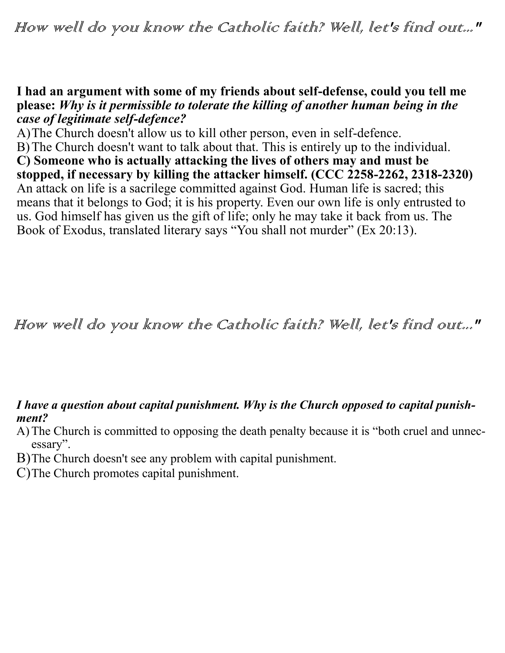## **I had an argument with some of my friends about self-defense, could you tell me please:** *Why is it permissible to tolerate the killing of another human being in the case of legitimate self-defence?*

A)The Church doesn't allow us to kill other person, even in self-defence. B) The Church doesn't want to talk about that. This is entirely up to the individual. **C) Someone who is actually attacking the lives of others may and must be stopped, if necessary by killing the attacker himself. (CCC 2258-2262, 2318-2320)**  An attack on life is a sacrilege committed against God. Human life is sacred; this means that it belongs to God; it is his property. Even our own life is only entrusted to us. God himself has given us the gift of life; only he may take it back from us. The Book of Exodus, translated literary says "You shall not murder" (Ex 20:13).

How well do you know the Catholic faith? Well, let's find out..."

## *I have a question about capital punishment. Why is the Church opposed to capital punishment?*

- A)The Church is committed to opposing the death penalty because it is "both cruel and unnecessary".
- B)The Church doesn't see any problem with capital punishment.
- C)The Church promotes capital punishment.